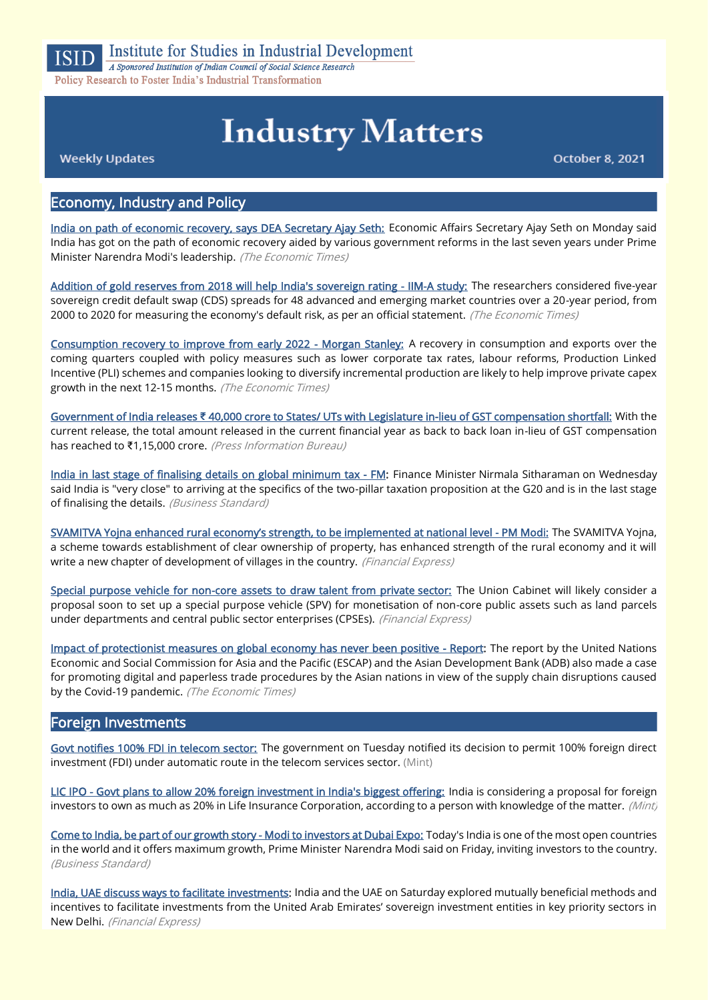

# **Industry Matters**

**Weekly Updates** 

October 8, 2021

## Economy, Industry and Policy

[India on path of economic recovery, says DEA Secretary Ajay Seth:](https://economictimes.indiatimes.com/news/economy/indicators/india-on-path-of-economic-recovery-says-dea-secretary-ajay-seth/articleshow/86752056.cms) Economic Affairs Secretary Ajay Seth on Monday said India has got on the path of economic recovery aided by various government reforms in the last seven years under Prime Minister Narendra Modi's leadership. (The Economic Times)

[Addition of gold reserves from 2018 will help India's sovereign rating - IIM-A study:](https://economictimes.indiatimes.com/news/economy/indicators/addition-of-gold-reserves-from-2018-will-help-indias-sovereign-rating-iim-a-study/articleshow/86675061.cms) The researchers considered five-year sovereign credit default swap (CDS) spreads for 48 advanced and emerging market countries over a 20-year period, from 2000 to 2020 for measuring the economy's default risk, as per an official statement. (The Economic Times)

[Consumption recovery to improve from early 2022 - Morgan Stanley:](https://economictimes.indiatimes.com/news/economy/indicators/consumption-recovery-to-improve-from-early-2022-morgan-stanley/articleshow/86750115.cms) A recovery in consumption and exports over the coming quarters coupled with policy measures such as lower corporate tax rates, labour reforms, Production Linked Incentive (PLI) schemes and companies looking to diversify incremental production are likely to help improve private capex growth in the next 12-15 months. (The Economic Times)

Government of India releases **₹** [40,000 crore to States/ UTs with Legislature in-lieu of GST compensation shortfall:](https://www.pib.gov.in/PressReleaseIframePage.aspx?PRID=1761749) With the current release, the total amount released in the current financial year as back to back loan in-lieu of GST compensation has reached to ₹1,15,000 crore. (Press Information Bureau)

[India in last stage of finalising details on global minimum tax - FM:](https://www.business-standard.com/article/economy-policy/india-in-last-stage-of-finalising-details-on-global-minimum-tax-fm-121100601151_1.html) Finance Minister Nirmala Sitharaman on Wednesday said India is "very close" to arriving at the specifics of the two-pillar taxation proposition at the G20 and is in the last stage of finalising the details. (Business Standard)

[SVAMITVA Yojna enhanced rural economy's strength, to be implemented at national level](https://www.financialexpress.com/economy/svamitva-yojna-enhanced-rural-economys-strength-to-be-implemented-at-national-level-pm-modi/2344865/) - PM Modi: The SVAMITVA Yojna, a scheme towards establishment of clear ownership of property, has enhanced strength of the rural economy and it will write a new chapter of development of villages in the country. (Financial Express)

[Special purpose vehicle for non-core assets to draw talent from private sector:](https://www.financialexpress.com/economy/special-purpose-vehicle-for-non-core-assets-to-draw-talent-from-private-sector/2342930/) The Union Cabinet will likely consider a proposal soon to set up a special purpose vehicle (SPV) for monetisation of non-core public assets such as land parcels under departments and central public sector enterprises (CPSEs). (Financial Express)

[Impact of protectionist measures on global economy has never been positive - Report:](https://economictimes.indiatimes.com/news/economy/finance/impact-of-protectionist-measures-on-global-economy-has-never-been-positive-report/articleshow/86810480.cms) The report by the United Nations Economic and Social Commission for Asia and the Pacific (ESCAP) and the Asian Development Bank (ADB) also made a case for promoting digital and paperless trade procedures by the Asian nations in view of the supply chain disruptions caused by the Covid-19 pandemic. (The Economic Times)

#### Foreign Investments

[Govt notifies 100% FDI in telecom sector:](https://www.livemint.com/industry/telecom/govt-notifies-100-fdi-in-telecom-sector-11633514356723.html) The government on Tuesday notified its decision to permit 100% foreign direct investment (FDI) under automatic route in the telecom services sector. (Mint)

[LIC IPO - Govt plans to allow 20% foreign investment in India's biggest offering:](https://www.livemint.com/market/ipo/lic-ipo-govt-plans-to-allow-20-foreign-investment-in-india-s-biggest-offering-11633504045507.html) India is considering a proposal for foreign investors to own as much as 20% in Life Insurance Corporation, according to a person with knowledge of the matter. (Mint,

[Come to India, be part of our growth story - Modi to investors at Dubai Expo:](https://www.business-standard.com/article/economy-policy/come-to-india-be-part-of-our-growth-story-modi-to-investors-at-dubai-expo-121100101424_1.html) Today's India is one of the most open countries in the world and it offers maximum growth, Prime Minister Narendra Modi said on Friday, inviting investors to the country. (Business Standard)

[India, UAE discuss ways to facilitate investments:](https://www.financialexpress.com/economy/india-uae-discuss-ways-to-facilitate-investments/2342522/) India and the UAE on Saturday explored mutually beneficial methods and incentives to facilitate investments from the United Arab Emirates' sovereign investment entities in key priority sectors in New Delhi. (Financial Express)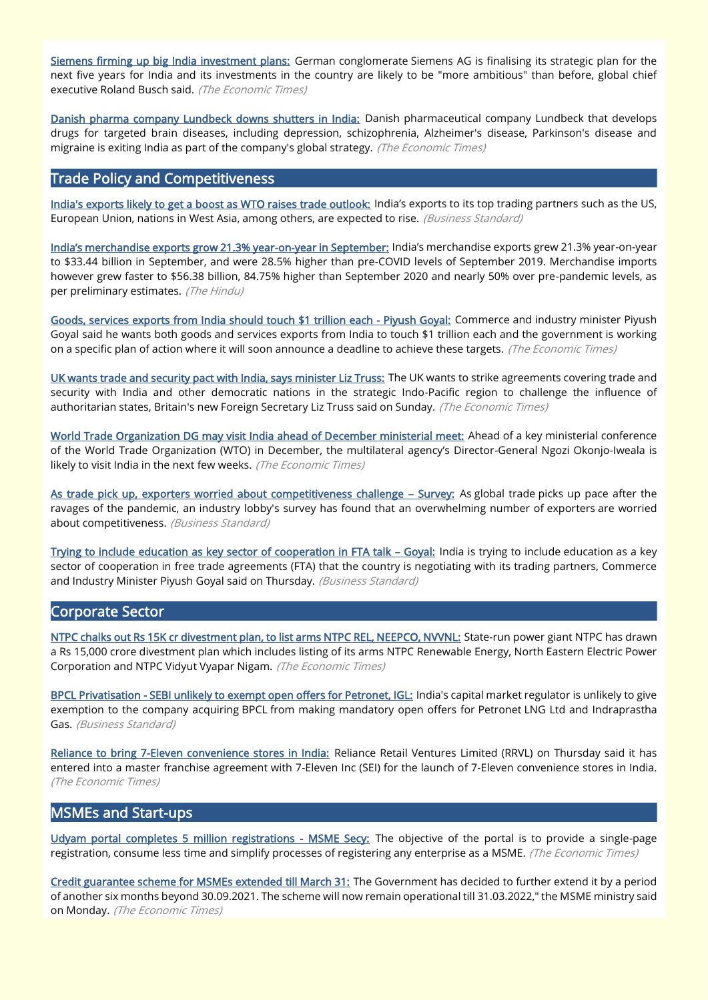[Siemens firming up big India investment plans:](https://economictimes.indiatimes.com/industry/cons-products/electronics/siemens-firming-up-big-india-investment-plans/articleshow/86828017.cms) German conglomerate Siemens AG is finalising its strategic plan for the next five years for India and its investments in the country are likely to be "more ambitious" than before, global chief executive Roland Busch said. (The Economic Times)

[Danish pharma company Lundbeck downs shutters in India:](https://economictimes.indiatimes.com/industry/healthcare/biotech/pharmaceuticals/danish-pharma-company-lundbeck-downs-shutters-in-india/articleshow/86811875.cms) Danish pharmaceutical company Lundbeck that develops drugs for targeted brain diseases, including depression, schizophrenia, Alzheimer's disease, Parkinson's disease and migraine is exiting India as part of the company's global strategy. (The Economic Times)

# Trade Policy and Competitiveness

[India's exports likely to get a boost as WTO raises trade outlook:](https://www.business-standard.com/article/economy-policy/india-s-exports-likely-to-get-a-boost-as-wto-raises-trade-outlook-121100600077_1.html) India's exports to its top trading partners such as the US, European Union, nations in West Asia, among others, are expected to rise. (Business Standard)

[India's merchandise exports grow 21.3% year](https://www.thehindu.com/business/Economy/indias-merchandise-exports-grow-213-year-on-year-in-september/article36779913.ece)-on-year in September: India's merchandise exports grew 21.3% year-on-year to \$33.44 billion in September, and were 28.5% higher than pre-COVID levels of September 2019. Merchandise imports however grew faster to \$56.38 billion, 84.75% higher than September 2020 and nearly 50% over pre-pandemic levels, as per preliminary estimates. (The Hindu)

[Goods, services exports from India should touch \\$1 trillion each - Piyush Goyal:](https://economictimes.indiatimes.com/news/economy/foreign-trade/goods-services-exports-from-india-should-touch-1-trillion-each-piyush-goyal/articleshow/86729151.cms) Commerce and industry minister Piyush Goyal said he wants both goods and services exports from India to touch \$1 trillion each and the government is working on a specific plan of action where it will soon announce a deadline to achieve these targets. (The Economic Times)

[UK wants trade and security pact with India, says minister Liz Truss:](https://economictimes.indiatimes.com/news/economy/foreign-trade/uk-wants-trade-and-security-pact-with-india-says-minister-liz-truss/articleshow/86728001.cms) The UK wants to strike agreements covering trade and security with India and other democratic nations in the strategic Indo-Pacific region to challenge the influence of authoritarian states, Britain's new Foreign Secretary Liz Truss said on Sunday. (The Economic Times)

[World Trade Organization DG may visit India ahead of December ministerial meet:](https://economictimes.indiatimes.com/small-biz/trade/exports/insights/world-trade-organization-dg-may-visit-india-ahead-of-december-ministerial-meet/articleshow/86807690.cms) Ahead of a key ministerial conference of the World Trade Organization (WTO) in December, the multilateral agency's Director-General Ngozi Okonjo-Iweala is likely to visit India in the next few weeks. (The Economic Times)

[As trade pick up, exporters worried about competitiveness challenge](https://www.business-standard.com/article/economy-policy/as-trade-pick-up-exporters-worried-about-competitiveness-challenge-survey-121100501356_1.html) – Survey: As global trade picks up pace after the ravages of the pandemic, an industry lobby's survey has found that an overwhelming number of exporters are worried about competitiveness. (Business Standard)

[Trying to include education as key sector of cooperation in FTA talk](https://www.business-standard.com/article/economy-policy/trying-to-include-education-as-key-sector-of-cooperation-in-fta-talk-goyal-121100701305_1.html) - Goyal: India is trying to include education as a key sector of cooperation in free trade agreements (FTA) that the country is negotiating with its trading partners, Commerce and Industry Minister Piyush Goyal said on Thursday. (Business Standard)

#### Corporate Sector

[NTPC chalks out Rs 15K cr divestment plan, to list arms NTPC REL, NEEPCO, NVVNL:](https://energy.economictimes.indiatimes.com/news/power/ntpc-chalks-out-rs-15k-cr-divestment-plan-to-list-arms-ntpc-rel-neepco-nvvnl/86729037) State-run power giant NTPC has drawn a Rs 15,000 crore divestment plan which includes listing of its arms NTPC Renewable Energy, North Eastern Electric Power Corporation and NTPC Vidyut Vyapar Nigam. (The Economic Times)

[BPCL Privatisation - SEBI unlikely to exempt open offers for Petronet, IGL:](https://www.business-standard.com/article/companies/bpcl-privatisation-sebi-unlikely-to-exempt-open-offers-for-petronet-igl-121100700686_1.html) India's capital market regulator is unlikely to give exemption to the company acquiring BPCL from making mandatory open offers for Petronet LNG Ltd and Indraprastha Gas. (Business Standard)

[Reliance to bring 7-Eleven convenience stores in India:](https://economictimes.indiatimes.com/industry/services/retail/reliance-to-bring-7-eleven-convenience-stores-in-india/articleshow/86829438.cms) Reliance Retail Ventures Limited (RRVL) on Thursday said it has entered into a master franchise agreement with 7-Eleven Inc (SEI) for the launch of 7-Eleven convenience stores in India. (The Economic Times)

#### MSMEs and Start-ups

[Udyam portal completes 5 million registrations - MSME Secy:](https://economictimes.indiatimes.com/small-biz/sme-sector/udyam-portal-completes-5-million-registrations-msme-secy/articleshow/86829768.cms) The objective of the portal is to provide a single-page registration, consume less time and simplify processes of registering any enterprise as a MSME. (The Economic Times)

[Credit guarantee scheme for MSMEs extended till March 31:](https://economictimes.indiatimes.com/small-biz/sme-sector/credit-guarantee-scheme-for-msmes-extended-till-march-31/articleshow/86756970.cms) The Government has decided to further extend it by a period of another six months beyond 30.09.2021. The scheme will now remain operational till 31.03.2022," the MSME ministry said on Monday. (The Economic Times)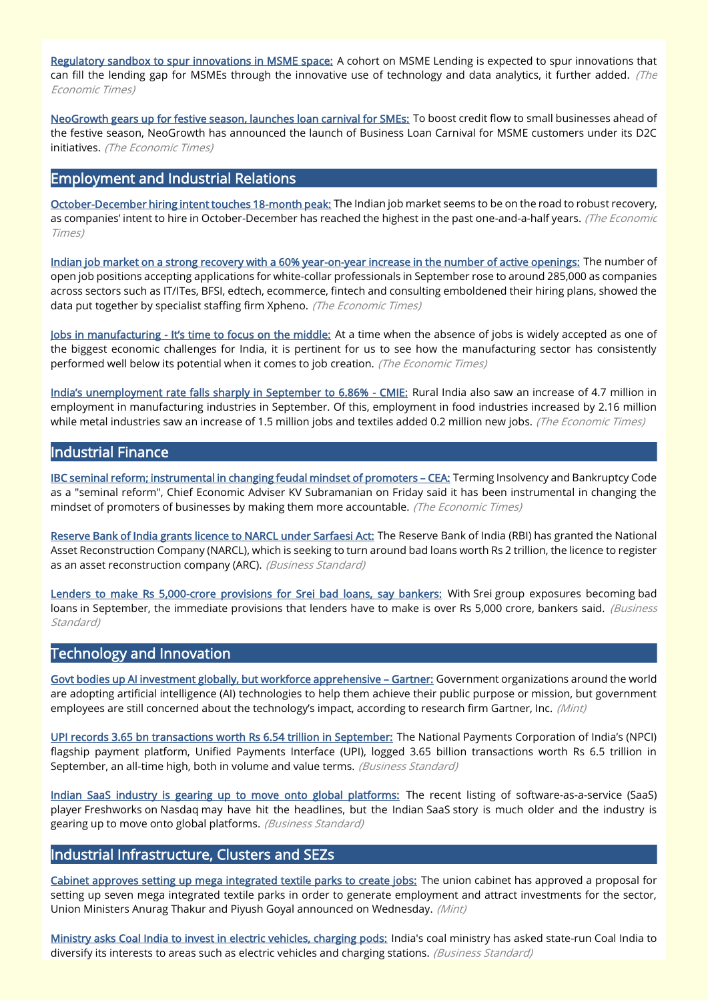[Regulatory sandbox to spur innovations in MSME space:](https://economictimes.indiatimes.com/markets/stocks/news/regulatory-sandbox-to-spur-innovations-in-msme-space/articleshow/86700553.cms) A cohort on MSME Lending is expected to spur innovations that can fill the lending gap for MSMEs through the innovative use of technology and data analytics, it further added.  $(The$ Economic Times)

[NeoGrowth gears up for festive season, launches loan carnival for SMEs:](https://economictimes.indiatimes.com/small-biz/sme-sector/neogrowth-gears-up-for-festive-season-launches-loan-carnival-for-smes/articleshow/86833140.cms) To boost credit flow to small businesses ahead of the festive season, NeoGrowth has announced the launch of Business Loan Carnival for MSME customers under its D2C initiatives. (The Economic Times)

#### Employment and Industrial Relations

[October-December hiring intent touches 18-month peak:](https://economictimes.indiatimes.com/jobs/october-december-hiring-intent-touches-18-month-peak/articleshow/86827521.cms) The Indian job market seems to be on the road to robust recovery, as companies' intent to hire in October-December has reached the highest in the past one-and-a-half years. (The Economic Times)

[Indian job market on a strong recovery with a 60% year-on-year increase in the number of active openings:](https://economictimes.indiatimes.com/jobs/indian-job-market-on-a-strong-recovery-with-a-60-year-on-year-increase-in-the-number-of-active-openings/articleshow/86683575.cms) The number of open job positions accepting applications for white-collar professionals in September rose to around 285,000 as companies across sectors such as IT/ITes, BFSI, edtech, ecommerce, fintech and consulting emboldened their hiring plans, showed the data put together by specialist staffing firm Xpheno. (The Economic Times)

Jobs in manufacturing - [It's time to focus on the middle:](https://economictimes.indiatimes.com/small-biz/sme-sector/jobs-in-manufacturing-its-time-to-focus-on-the-middle/articleshow/86700290.cms) At a time when the absence of jobs is widely accepted as one of the biggest economic challenges for India, it is pertinent for us to see how the manufacturing sector has consistently performed well below its potential when it comes to job creation. (The Economic Times)

[India's unemployment rate falls sharply in September to 6.86%](https://economictimes.indiatimes.com/news/economy/indicators/indias-unemployment-rate-falls-sharply-in-september-to-6-86-cmie/articleshow/86834418.cms) - CMIE: Rural India also saw an increase of 4.7 million in employment in manufacturing industries in September. Of this, employment in food industries increased by 2.16 million while metal industries saw an increase of 1.5 million jobs and textiles added 0.2 million new jobs. (The Economic Times)

# Industrial Finance

[IBC seminal reform; instrumental in changing feudal mindset of promoters](https://economictimes.indiatimes.com/news/economy/policy/ibc-seminal-reform-instrumental-in-changing-feudal-mindset-of-promoters-cea/articleshow/86690553.cms) - CEA: Terming Insolvency and Bankruptcy Code as a "seminal reform", Chief Economic Adviser KV Subramanian on Friday said it has been instrumental in changing the mindset of promoters of businesses by making them more accountable. (The Economic Times)

[Reserve Bank of India grants licence to NARCL under Sarfaesi Act:](https://www.business-standard.com/article/economy-policy/reserve-bank-of-india-grants-license-to-narcl-under-sarfaesi-act-121100401455_1.html) The Reserve Bank of India (RBI) has granted the National Asset Reconstruction Company (NARCL), which is seeking to turn around bad loans worth Rs 2 trillion, the licence to register as an asset reconstruction company (ARC). (Business Standard)

[Lenders to make Rs 5,000-crore provisions for Srei bad loans, say bankers:](https://www.business-standard.com/article/companies/lenders-to-make-rs-5-000-crore-provisions-for-srei-bad-loans-say-bankers-121100700037_1.html) With Srei group exposures becoming bad loans in September, the immediate provisions that lenders have to make is over Rs 5,000 crore, bankers said. (Business Standard)

#### Technology and Innovation

[Govt bodies up AI investment globally, but workforce apprehensive](https://www.livemint.com/technology/tech-news/govt-bodies-up-ai-investment-globally-but-workforce-apprehensive-gartner-11633428153235.html) – Gartner: Government organizations around the world are adopting artificial intelligence (AI) technologies to help them achieve their public purpose or mission, but government employees are still concerned about the technology's impact, according to research firm Gartner, Inc. (Mint)

[UPI records 3.65 bn transactions worth Rs 6.54 trillion in September:](https://www.business-standard.com/article/finance/upi-records-3-65-bn-transactions-worth-rs-6-54-trillion-in-september-121100100590_1.html) The National Payments Corporation of India's (NPCI) flagship payment platform, Unified Payments Interface (UPI), logged 3.65 billion transactions worth Rs 6.5 trillion in September, an all-time high, both in volume and value terms. (Business Standard)

[Indian SaaS industry is gearing up to move onto global platforms:](https://www.business-standard.com/article/technology/indian-saas-industry-is-gearing-up-to-move-onto-global-platforms-121100300698_1.html) The recent listing of software-as-a-service (SaaS) player Freshworks on Nasdaq may have hit the headlines, but the Indian SaaS story is much older and the industry is gearing up to move onto global platforms. (Business Standard)

### Industrial Infrastructure, Clusters and SEZs

[Cabinet approves setting up mega integrated textile parks to create jobs:](https://www.livemint.com/economy/cabinet-approves-setting-up-mega-investment-textile-parks-to-create-jobs-11633511519840.html) The union cabinet has approved a proposal for setting up seven mega integrated textile parks in order to generate employment and attract investments for the sector, Union Ministers Anurag Thakur and Piyush Goyal announced on Wednesday. (Mint)

[Ministry asks Coal India to invest in electric vehicles, charging pods:](https://www.business-standard.com/article/companies/india-asks-coal-india-to-invest-in-electric-vehicles-charging-pods-121100401337_1.html) India's coal ministry has asked state-run Coal India to diversify its interests to areas such as electric vehicles and charging stations. (Business Standard)